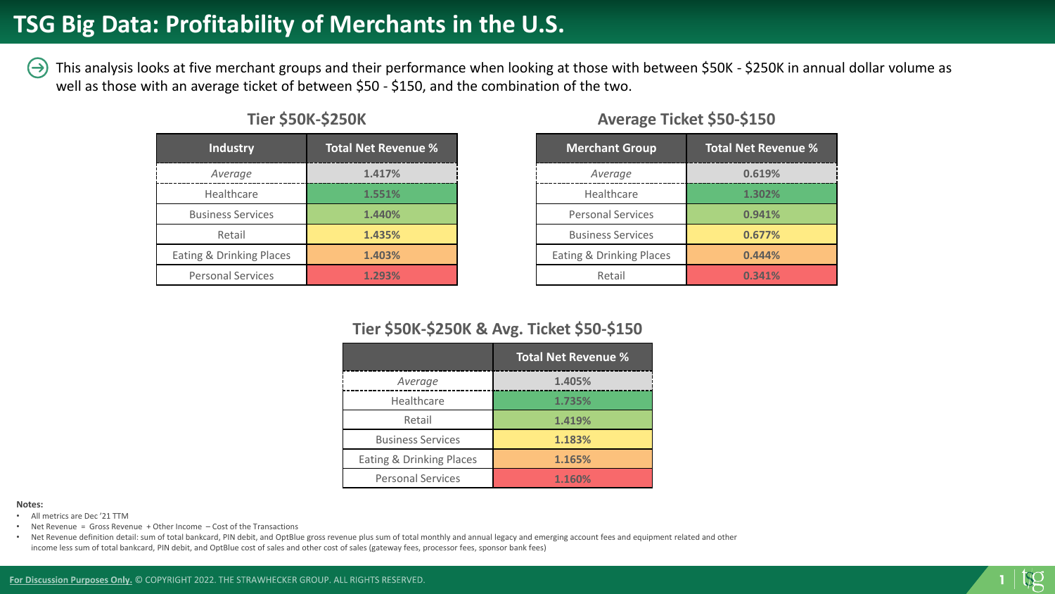#### **TSG Big Data: Profitability of Merchants in the U.S.**

This analysis looks at five merchant groups and their performance when looking at those with between \$50K - \$250K in annual dollar volume as  $(\rightarrow)$ well as those with an average ticket of between \$50 - \$150, and the combination of the two.

| <b>Industry</b>          | <b>Total Net Revenue %</b> |
|--------------------------|----------------------------|
| Average                  | 1.417%                     |
| Healthcare               | 1.551%                     |
| <b>Business Services</b> | 1.440%                     |
| Retail                   | 1.435%                     |
| Eating & Drinking Places | 1.403%                     |
| <b>Personal Services</b> | 1.293%                     |

#### **Tier \$50K-\$250K**

| <b>Merchant Group</b>    | <b>Total Net Revenue %</b> |
|--------------------------|----------------------------|
| Average                  | 0.619%                     |
| Healthcare               | 1.302%                     |
| <b>Personal Services</b> | 0.941%                     |
| <b>Business Services</b> | 0.677%                     |
| Eating & Drinking Places | 0.444%                     |
| Retail                   | 0.341%                     |

#### **Average Ticket \$50-\$150**

#### **Tier \$50K-\$250K & Avg. Ticket \$50-\$150**

|                          | <b>Total Net Revenue %</b> |
|--------------------------|----------------------------|
| Average                  | 1.405%                     |
| Healthcare               | 1.735%                     |
| Retail                   | 1.419%                     |
| <b>Business Services</b> | 1.183%                     |
| Eating & Drinking Places | 1.165%                     |
| <b>Personal Services</b> | 1.160%                     |

#### **Notes:**

- All metrics are Dec '21 TTM
- Net Revenue = Gross Revenue + Other Income Cost of the Transactions
- Net Revenue definition detail: sum of total bankcard, PIN debit, and OptBlue gross revenue plus sum of total monthly and annual legacy and emerging account fees and equipment related and other income less sum of total bankcard, PIN debit, and OptBlue cost of sales and other cost of sales (gateway fees, processor fees, sponsor bank fees)